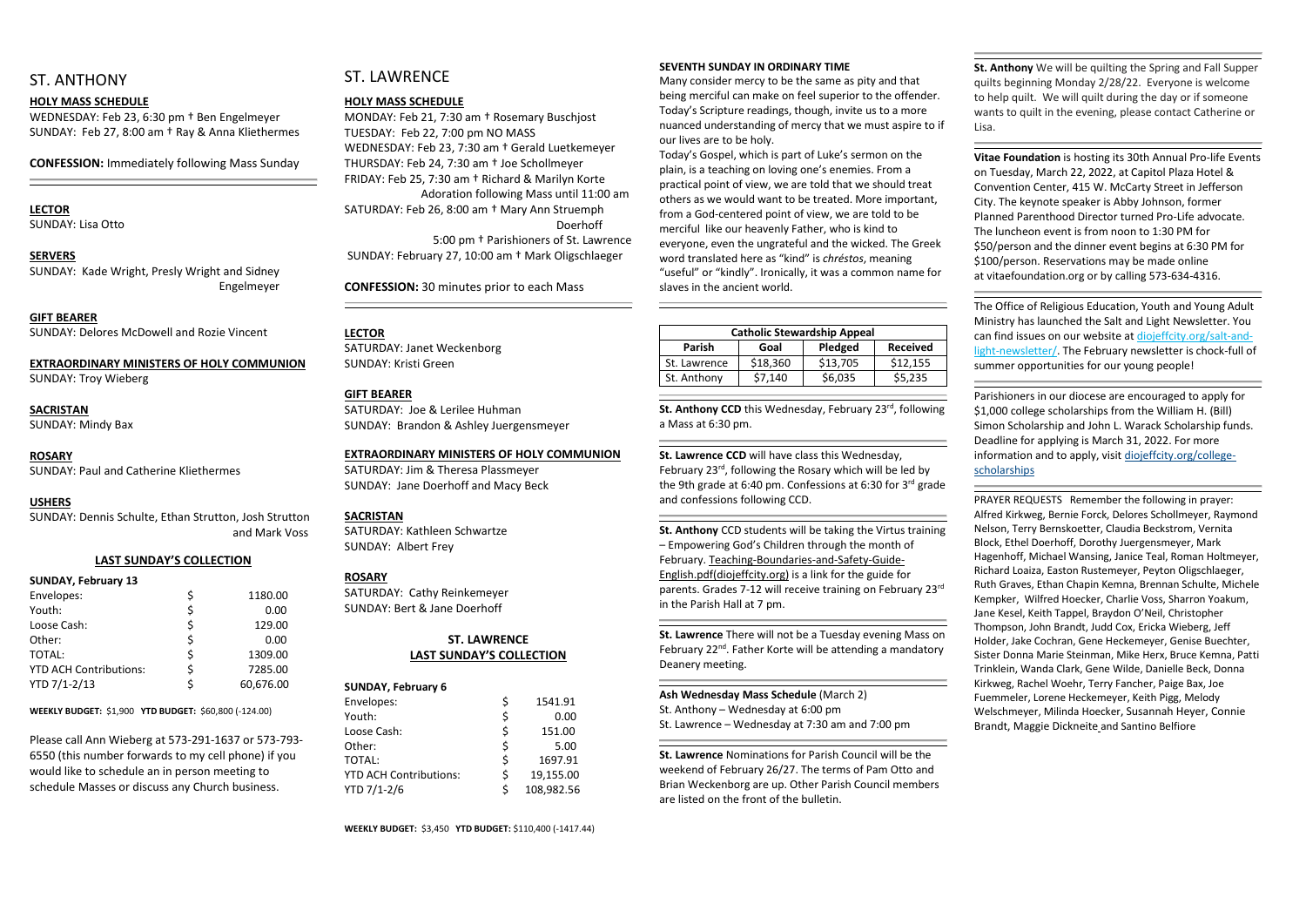## ST. ANTHONY

#### **HOLY MASS SCHEDULE**

WEDNESDAY: Feb 23, 6:30 pm † Ben Engelmeyer SUNDAY: Feb 27, 8:00 am † Ray & Anna Kliethermes

**CONFESSION:** Immediately following Mass Sunday

### **LECTOR**

SUNDAY: Lisa Otto

#### **SERVERS**

SUNDAY: Kade Wright, Presly Wright and Sidney Engelmeyer

**GIFT BEARER** SUNDAY: Delores McDowell and Rozie Vincent

#### **EXTRAORDINARY MINISTERS OF HOLY COMMUNION**

SUNDAY: Troy Wieberg

## **SACRISTAN**

SUNDAY: Mindy Bax

#### **ROSARY**

SUNDAY: Paul and Catherine Kliethermes

#### **USHERS**

SUNDAY: Dennis Schulte, Ethan Strutton, Josh Strutton and Mark Voss

#### **LAST SUNDAY'S COLLECTION**

#### **SUNDAY, February 13**

| Envelopes:                    | 1180.00   |
|-------------------------------|-----------|
| Youth:                        | 0.00      |
| Loose Cash:                   | 129.00    |
| Other:                        | 0.00      |
| TOTAL:                        | 1309.00   |
| <b>YTD ACH Contributions:</b> | 7285.00   |
| YTD 7/1-2/13                  | 60,676.00 |

**WEEKLY BUDGET:** \$1,900 **YTD BUDGET:** \$60,800 (-124.00)

Please call Ann Wieberg at 573-291-1637 or 573-793- 6550 (this number forwards to my cell phone) if you would like to schedule an in person meeting to schedule Masses or discuss any Church business.

## ST. LAWRENCE

#### **HOLY MASS SCHEDULE**

MONDAY: Feb 21, 7:30 am † Rosemary Buschjost TUESDAY: Feb 22, 7:00 pm NO MASS WEDNESDAY: Feb 23, 7:30 am † Gerald Luetkemeyer THURSDAY: Feb 24, 7:30 am † Joe Schollmeyer FRIDAY: Feb 25, 7:30 am † Richard & Marilyn Korte Adoration following Mass until 11:00 am SATURDAY: Feb 26, 8:00 am † Mary Ann Struemph Doerhoff 5:00 pm † Parishioners of St. Lawrence SUNDAY: February 27, 10:00 am † Mark Oligschlaeger

**CONFESSION:** 30 minutes prior to each Mass

#### **LECTOR**

SATURDAY: Janet Weckenborg SUNDAY: Kristi Green

#### **GIFT BEARER**

St. Anthony CCD this Wednesday, February 23<sup>rd</sup>, following a Mass at 6:30 pm.

SATURDAY: Joe & Lerilee Huhman SUNDAY: Brandon & Ashley Juergensmeyer

#### **EXTRAORDINARY MINISTERS OF HOLY COMMUNION**

SATURDAY: Jim & Theresa Plassmeyer SUNDAY: Jane Doerhoff and Macy Beck

#### **SACRISTAN**

SATURDAY: Kathleen Schwartze SUNDAY: Albert Frey

#### **ROSARY**

SATURDAY: Cathy Reinkemeyer SUNDAY: Bert & Jane Doerhoff

#### **ST. LAWRENCE LAST SUNDAY'S COLLECTION**

#### **SUNDAY, February 6**

| Envelopes:                    | \$ | 1541.91    |
|-------------------------------|----|------------|
| Youth:                        | \$ | 0.00       |
| Loose Cash:                   | \$ | 151.00     |
| Other:                        | \$ | 5.00       |
| <b>TOTAL:</b>                 | \$ | 1697.91    |
| <b>YTD ACH Contributions:</b> | Ś  | 19,155.00  |
| YTD 7/1-2/6                   | Ś  | 108,982.56 |

#### **SEVENTH SUNDAY IN ORDINARY TIME**

Many consider mercy to be the same as pity and that being merciful can make on feel superior to the offender. Today's Scripture readings, though, invite us to a more nuanced understanding of mercy that we must aspire to if our lives are to be holy.

Today's Gospel, which is part of Luke's sermon on the plain, is a teaching on loving one's enemies. From a practical point of view, we are told that we should treat others as we would want to be treated. More important, from a God-centered point of view, we are told to be merciful like our heavenly Father, who is kind to everyone, even the ungrateful and the wicked. The Greek word translated here as "kind" is *chréstos*, meaning "useful" or "kindly". Ironically, it was a common name for slaves in the ancient world.

| <b>Catholic Stewardship Appeal</b> |          |          |                 |  |  |  |
|------------------------------------|----------|----------|-----------------|--|--|--|
| <b>Parish</b>                      | Goal     | Pledged  | <b>Received</b> |  |  |  |
| St. Lawrence                       | \$18,360 | \$13,705 | \$12,155        |  |  |  |
| St. Anthony                        | \$7,140  | \$6,035  | \$5,235         |  |  |  |

**St. Lawrence CCD** will have class this Wednesday, February 23rd, following the Rosary which will be led by the 9th grade at 6:40 pm. Confessions at 6:30 for 3<sup>rd</sup> grade and confessions following CCD.

**St. Anthony** CCD students will be taking the Virtus training – Empowering God's Children through the month of February. Teaching-Boundaries-and-Safety-Guide-English.pdf(diojeffcity.org) is a link for the guide for parents. Grades 7-12 will receive training on February 23rd in the Parish Hall at 7 pm.

**St. Lawrence** There will not be a Tuesday evening Mass on February 22nd. Father Korte will be attending a mandatory Deanery meeting.

#### **Ash Wednesday Mass Schedule** (March 2)

St. Anthony – Wednesday at 6:00 pm St. Lawrence – Wednesday at 7:30 am and 7:00 pm

**St. Lawrence** Nominations for Parish Council will be the weekend of February 26/27. The terms of Pam Otto and Brian Weckenborg are up. Other Parish Council members are listed on the front of the bulletin.

**St. Anthony** We will be quilting the Spring and Fall Supper quilts beginning Monday 2/28/22. Everyone is welcome to help quilt. We will quilt during the day or if someone wants to quilt in the evening, please contact Catherine or

**Vitae Foundation** is hosting its 30th Annual Pro-life Events on Tuesday, March 22, 2022, at Capitol Plaza Hotel & Convention Center, 415 W. McCarty Street in Jefferson City. The keynote speaker is Abby Johnson, former Planned Parenthood Director turned Pro-Life advocate. The luncheon event is from noon to 1:30 PM for \$50/person and the dinner event begins at 6:30 PM for \$100/person. Reservations may be made online at vitaefoundation.org or by calling 573-634-4316.

The Office of Religious Education, Youth and Young Adult Ministry has launched the Salt and Light Newsletter. You can find issues on our website at [diojeffcity.org/salt-and](https://diojeffcity.org/salt-and-light-newsletter/)[light-newsletter/.](https://diojeffcity.org/salt-and-light-newsletter/) The February newsletter is chock-full of summer opportunities for our young people!

Parishioners in our diocese are encouraged to apply for \$1,000 college scholarships from the William H. (Bill) Simon Scholarship and John L. Warack Scholarship funds. Deadline for applying is March 31, 2022. For more information and to apply, visit [diojeffcity.org/college](https://diojeffcity.org/college-scholarships/)[scholarships](https://diojeffcity.org/college-scholarships/)

PRAYER REQUESTS Remember the following in prayer: Alfred Kirkweg, Bernie Forck, Delores Schollmeyer, Raymond Nelson, Terry Bernskoetter, Claudia Beckstrom, Vernita Block, Ethel Doerhoff, Dorothy Juergensmeyer, Mark Hagenhoff, Michael Wansing, Janice Teal, Roman Holtmeyer, Richard Loaiza, Easton Rustemeyer, Peyton Oligschlaeger, Ruth Graves, Ethan Chapin Kemna, Brennan Schulte, Michele Kempker, Wilfred Hoecker, Charlie Voss, Sharron Yoakum, Jane Kesel, Keith Tappel, Braydon O'Neil, Christopher Thompson, John Brandt, Judd Cox, Ericka Wieberg, Jeff Holder, Jake Cochran, Gene Heckemeyer, Genise Buechter, Sister Donna Marie Steinman, Mike Herx, Bruce Kemna, Patti Trinklein, Wanda Clark, Gene Wilde, Danielle Beck, Donna Kirkweg, Rachel Woehr, Terry Fancher, Paige Bax, Joe Fuemmeler, Lorene Heckemeyer, Keith Pigg, Melody Welschmeyer, Milinda Hoecker, Susannah Heyer, Connie Brandt, Maggie Dickneite and Santino Belfiore